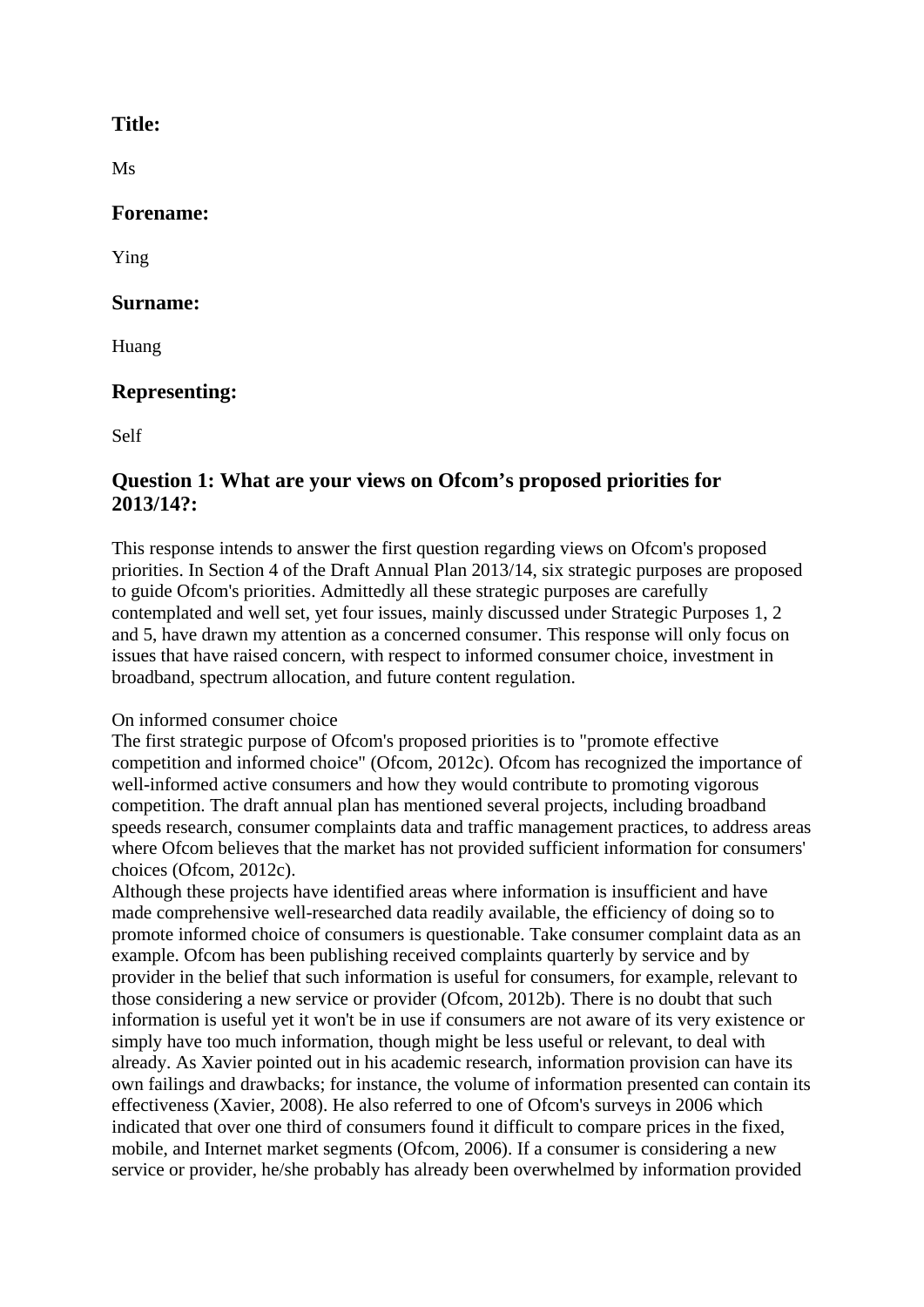# **Title:**

Ms

# **Forename:**

Ying

# **Surname:**

Huang

# **Representing:**

Self

# **Question 1: What are your views on Ofcom's proposed priorities for 2013/14?:**

This response intends to answer the first question regarding views on Ofcom's proposed priorities. In Section 4 of the Draft Annual Plan 2013/14, six strategic purposes are proposed to guide Ofcom's priorities. Admittedly all these strategic purposes are carefully contemplated and well set, yet four issues, mainly discussed under Strategic Purposes 1, 2 and 5, have drawn my attention as a concerned consumer. This response will only focus on issues that have raised concern, with respect to informed consumer choice, investment in broadband, spectrum allocation, and future content regulation.

### On informed consumer choice

The first strategic purpose of Ofcom's proposed priorities is to "promote effective competition and informed choice" (Ofcom, 2012c). Ofcom has recognized the importance of well-informed active consumers and how they would contribute to promoting vigorous competition. The draft annual plan has mentioned several projects, including broadband speeds research, consumer complaints data and traffic management practices, to address areas where Ofcom believes that the market has not provided sufficient information for consumers' choices (Ofcom, 2012c).

Although these projects have identified areas where information is insufficient and have made comprehensive well-researched data readily available, the efficiency of doing so to promote informed choice of consumers is questionable. Take consumer complaint data as an example. Ofcom has been publishing received complaints quarterly by service and by provider in the belief that such information is useful for consumers, for example, relevant to those considering a new service or provider (Ofcom, 2012b). There is no doubt that such information is useful yet it won't be in use if consumers are not aware of its very existence or simply have too much information, though might be less useful or relevant, to deal with already. As Xavier pointed out in his academic research, information provision can have its own failings and drawbacks; for instance, the volume of information presented can contain its effectiveness (Xavier, 2008). He also referred to one of Ofcom's surveys in 2006 which indicated that over one third of consumers found it difficult to compare prices in the fixed, mobile, and Internet market segments (Ofcom, 2006). If a consumer is considering a new service or provider, he/she probably has already been overwhelmed by information provided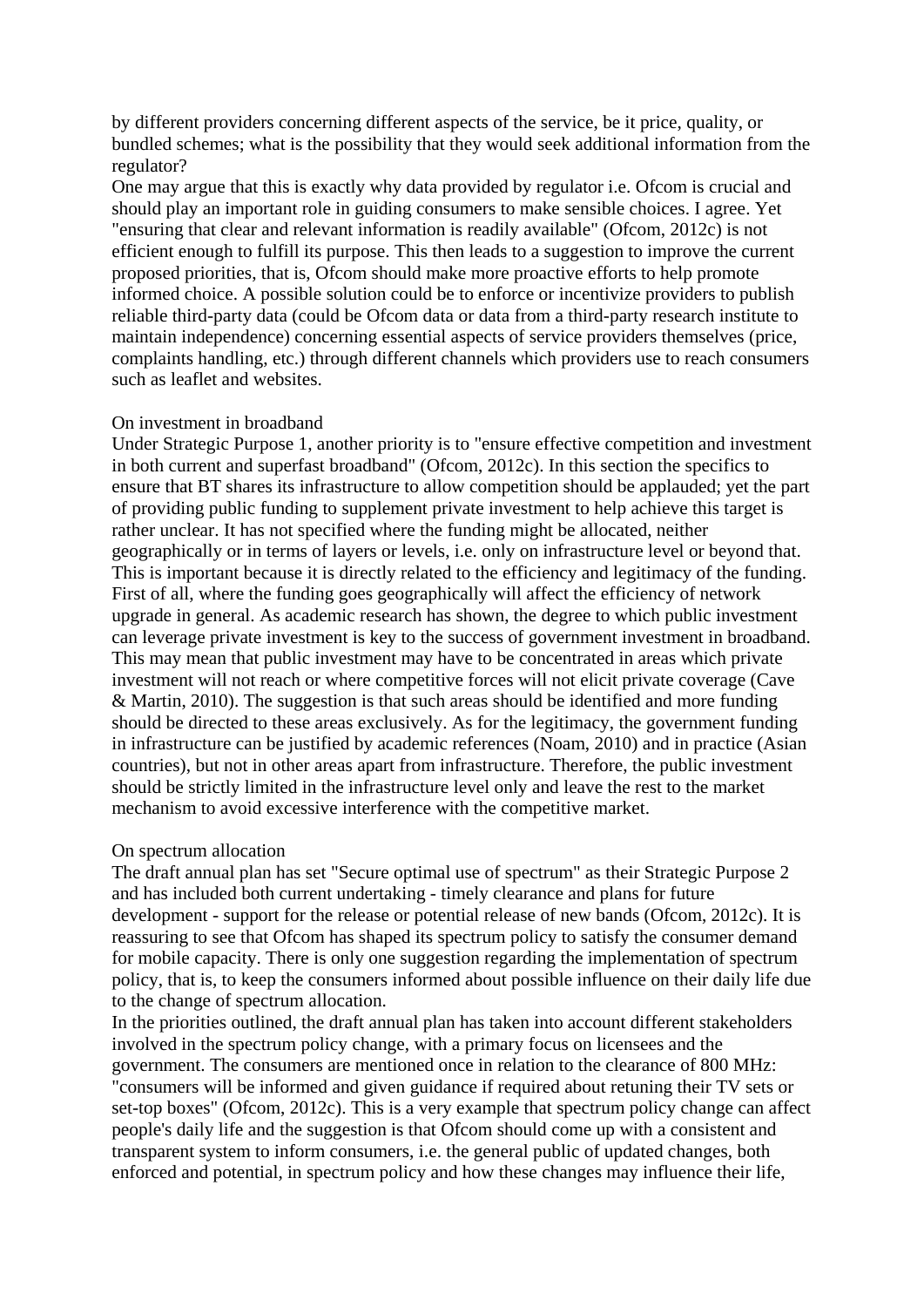by different providers concerning different aspects of the service, be it price, quality, or bundled schemes; what is the possibility that they would seek additional information from the regulator?

One may argue that this is exactly why data provided by regulator i.e. Ofcom is crucial and should play an important role in guiding consumers to make sensible choices. I agree. Yet "ensuring that clear and relevant information is readily available" (Ofcom, 2012c) is not efficient enough to fulfill its purpose. This then leads to a suggestion to improve the current proposed priorities, that is, Ofcom should make more proactive efforts to help promote informed choice. A possible solution could be to enforce or incentivize providers to publish reliable third-party data (could be Ofcom data or data from a third-party research institute to maintain independence) concerning essential aspects of service providers themselves (price, complaints handling, etc.) through different channels which providers use to reach consumers such as leaflet and websites.

#### On investment in broadband

Under Strategic Purpose 1, another priority is to "ensure effective competition and investment in both current and superfast broadband" (Ofcom, 2012c). In this section the specifics to ensure that BT shares its infrastructure to allow competition should be applauded; yet the part of providing public funding to supplement private investment to help achieve this target is rather unclear. It has not specified where the funding might be allocated, neither geographically or in terms of layers or levels, i.e. only on infrastructure level or beyond that. This is important because it is directly related to the efficiency and legitimacy of the funding. First of all, where the funding goes geographically will affect the efficiency of network upgrade in general. As academic research has shown, the degree to which public investment can leverage private investment is key to the success of government investment in broadband. This may mean that public investment may have to be concentrated in areas which private investment will not reach or where competitive forces will not elicit private coverage (Cave & Martin, 2010). The suggestion is that such areas should be identified and more funding should be directed to these areas exclusively. As for the legitimacy, the government funding in infrastructure can be justified by academic references (Noam, 2010) and in practice (Asian countries), but not in other areas apart from infrastructure. Therefore, the public investment should be strictly limited in the infrastructure level only and leave the rest to the market mechanism to avoid excessive interference with the competitive market.

#### On spectrum allocation

The draft annual plan has set "Secure optimal use of spectrum" as their Strategic Purpose 2 and has included both current undertaking - timely clearance and plans for future development - support for the release or potential release of new bands (Ofcom, 2012c). It is reassuring to see that Ofcom has shaped its spectrum policy to satisfy the consumer demand for mobile capacity. There is only one suggestion regarding the implementation of spectrum policy, that is, to keep the consumers informed about possible influence on their daily life due to the change of spectrum allocation.

In the priorities outlined, the draft annual plan has taken into account different stakeholders involved in the spectrum policy change, with a primary focus on licensees and the government. The consumers are mentioned once in relation to the clearance of 800 MHz: "consumers will be informed and given guidance if required about retuning their TV sets or set-top boxes" (Ofcom, 2012c). This is a very example that spectrum policy change can affect people's daily life and the suggestion is that Ofcom should come up with a consistent and transparent system to inform consumers, i.e. the general public of updated changes, both enforced and potential, in spectrum policy and how these changes may influence their life,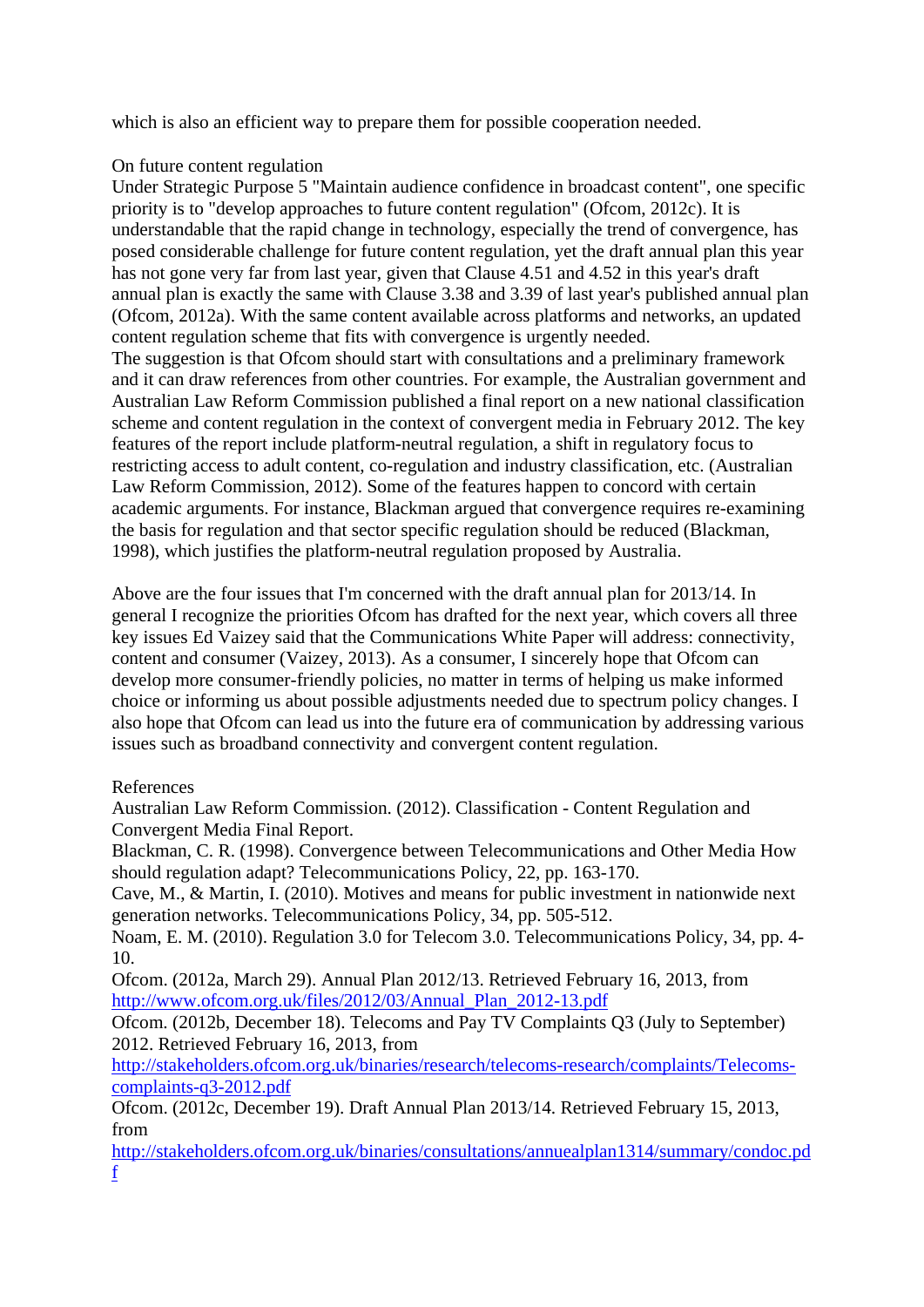which is also an efficient way to prepare them for possible cooperation needed.

### On future content regulation

Under Strategic Purpose 5 "Maintain audience confidence in broadcast content", one specific priority is to "develop approaches to future content regulation" (Ofcom, 2012c). It is understandable that the rapid change in technology, especially the trend of convergence, has posed considerable challenge for future content regulation, yet the draft annual plan this year has not gone very far from last year, given that Clause 4.51 and 4.52 in this year's draft annual plan is exactly the same with Clause 3.38 and 3.39 of last year's published annual plan (Ofcom, 2012a). With the same content available across platforms and networks, an updated content regulation scheme that fits with convergence is urgently needed. The suggestion is that Ofcom should start with consultations and a preliminary framework and it can draw references from other countries. For example, the Australian government and Australian Law Reform Commission published a final report on a new national classification scheme and content regulation in the context of convergent media in February 2012. The key features of the report include platform-neutral regulation, a shift in regulatory focus to restricting access to adult content, co-regulation and industry classification, etc. (Australian Law Reform Commission, 2012). Some of the features happen to concord with certain academic arguments. For instance, Blackman argued that convergence requires re-examining the basis for regulation and that sector specific regulation should be reduced (Blackman, 1998), which justifies the platform-neutral regulation proposed by Australia.

Above are the four issues that I'm concerned with the draft annual plan for 2013/14. In general I recognize the priorities Ofcom has drafted for the next year, which covers all three key issues Ed Vaizey said that the Communications White Paper will address: connectivity, content and consumer (Vaizey, 2013). As a consumer, I sincerely hope that Ofcom can develop more consumer-friendly policies, no matter in terms of helping us make informed choice or informing us about possible adjustments needed due to spectrum policy changes. I also hope that Ofcom can lead us into the future era of communication by addressing various issues such as broadband connectivity and convergent content regulation.

### References

Australian Law Reform Commission. (2012). Classification - Content Regulation and Convergent Media Final Report.

Blackman, C. R. (1998). Convergence between Telecommunications and Other Media How should regulation adapt? Telecommunications Policy, 22, pp. 163-170.

Cave, M., & Martin, I. (2010). Motives and means for public investment in nationwide next generation networks. Telecommunications Policy, 34, pp. 505-512.

Noam, E. M. (2010). Regulation 3.0 for Telecom 3.0. Telecommunications Policy, 34, pp. 4- 10.

Ofcom. (2012a, March 29). Annual Plan 2012/13. Retrieved February 16, 2013, from [http://www.ofcom.org.uk/files/2012/03/Annual\\_Plan\\_2012-13.pdf](http://www.ofcom.org.uk/files/2012/03/Annual_Plan_2012-13.pdf)

Ofcom. (2012b, December 18). Telecoms and Pay TV Complaints Q3 (July to September) 2012. Retrieved February 16, 2013, from

[http://stakeholders.ofcom.org.uk/binaries/research/telecoms-research/complaints/Telecoms](http://stakeholders.ofcom.org.uk/binaries/research/telecoms-research/complaints/Telecoms-complaints-q3-2012.pdf)[complaints-q3-2012.pdf](http://stakeholders.ofcom.org.uk/binaries/research/telecoms-research/complaints/Telecoms-complaints-q3-2012.pdf)

Ofcom. (2012c, December 19). Draft Annual Plan 2013/14. Retrieved February 15, 2013, from

[http://stakeholders.ofcom.org.uk/binaries/consultations/annuealplan1314/summary/condoc.pd](http://stakeholders.ofcom.org.uk/binaries/consultations/annuealplan1314/summary/condoc.pdf) [f](http://stakeholders.ofcom.org.uk/binaries/consultations/annuealplan1314/summary/condoc.pdf)